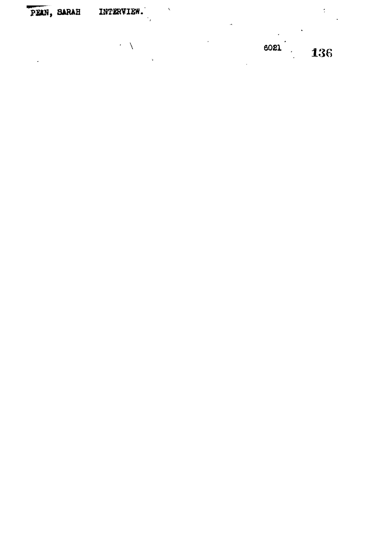PEAN, SARAH INTERVIEW.

> $\overline{\mathcal{C}}$  . 6021 136

 $\overline{\phantom{a}}$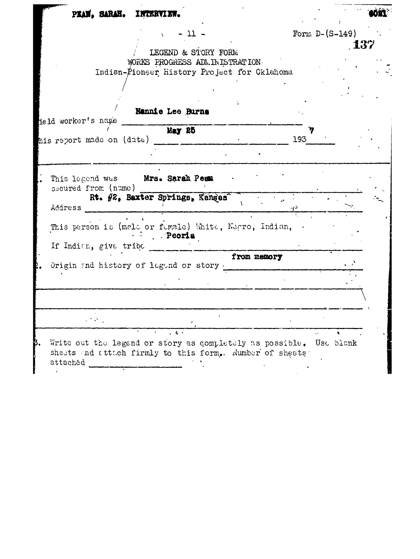| PEAN, SARAH. INTERVIEW.                        |                                                                                                                               |             |                  |       |
|------------------------------------------------|-------------------------------------------------------------------------------------------------------------------------------|-------------|------------------|-------|
|                                                | $-11 -$<br>$\Lambda$<br>LEGEND & STORY FORM<br>WORKS PROGRESS ADMINISTRATION                                                  |             | Form $D-(S-149)$ | . 137 |
|                                                | Indian-Pioneer History Project for Oklahoma                                                                                   |             |                  |       |
| held worker's name                             | Nannie Lee Burns                                                                                                              |             |                  |       |
| his report made on $(\texttt{date})$ _________ | May 25                                                                                                                        |             | 193              |       |
| secured from (name)<br>Address                 | This legend was Mrs. Sarah Pean<br>Rt. #2, Baxter Springs, Kangas                                                             |             |                  |       |
| If Indian, give tribe                          | This person is (male or fumale) White, Negro, Indian, .<br>Peoria                                                             |             |                  |       |
|                                                | Origin and history of legand or story.                                                                                        | from memory |                  |       |
| $\mathcal{L}^{\text{max}}$                     |                                                                                                                               |             |                  |       |
| attached                                       | Write out the legend or story as completely as possible. Use blank<br>sheets and attach firmly to this form. Number of sheets |             |                  |       |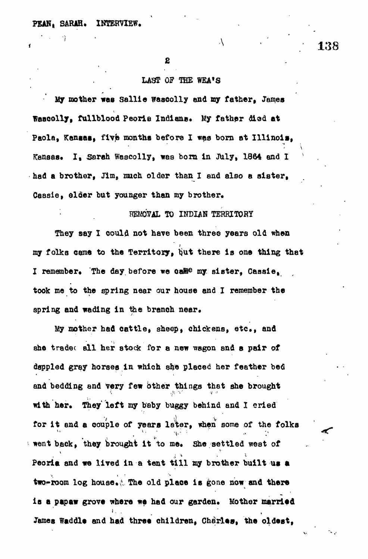### LAST OF THE WEA'S

 $\lambda$ 

**lay mother was Sallie wascolly and my father, James Tascolly, fullblood Peorie Indians. My father died at Paola, Kansas, flvfe months before I was born at Illinois,** Kansas. I, Sarah Wascolly, was born in July, 1864 and I had a brother, Jim, much older than I and also a sister, **Cessie, elder but younger than my brother.**

## *mmXL* **TO INDIAH TERRITORY**

**They say I could not have been three years old when my folks came to the Territory, ijut there la one thing that** I remember. The day before we ca<sup>me</sup> my sister, Cassie<sub>a</sub> **took me to the spring near our house and I remember the** spring and wading in the branch near.

*Vty* **mother had cattle, sheep, chickens, etc\*, and she tradec all her stock for a new wagon and a pair of dappled gray horses in which she placed her feather bed and bedding and Very few Other things that she brought** with her. They left my baby buggy behind and I cried for it and a couple of years later, when some of the folks went back, they brought it to me. She settled west of Peoria and we lived in a tent till my brother built us a two-room log house. The old place is gone now and there is a papaw grove where we had our garden. Mother married **i , . • ,** James Waddle and had three children, Charles, the oldest,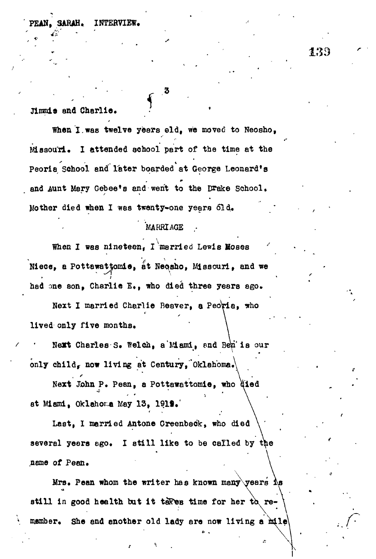**Hamis** and Charlic.

When I was twelve years eld, we moved to Neosho, Missouri. I attended school part of the time at the Peoria School and later boarded at George Leonard's and Aunt Mary Gebee's and went to the Drake School. Mother died when I was twenty-one years 61d.

# Mother died when I vas twenty-one years old. \* *• , •* **'MARRIAGE ..**

when I was nineted, I make more include  $\frac{1}{2}$ Niece, a Pottawattomie, at Neosho, Missouri, and we had one son, Charlie I. , who died three years ago.

 $\sum_{i=1}^{n}$ lived only five months.

Next Charles S. Welch, a Mami, and Ben is our only child, now living at Century, Oklahoma. now living at Century, Oklahoma,\

only child<sup>r</sup> Next John P. Pean, a Pottawattomie, who at Miami, Oklahoma May 13, 1919.

at Miami, Oklahor.a May 13, 191S.' Last, I married Antone Creenbeck, who died Last, I married Antone Greenback, who died several years ago. I still like to be called by the several years equal years equal to be called by  $\mathcal{L}_{\mathcal{A}}$ name of Pean.

Mrs. Pean whom the writer has known many years As  $\mathcal{L}_{\text{max}}$ still in good health but it takes time for her to remember. She and another old lady are now living a  $m\ell$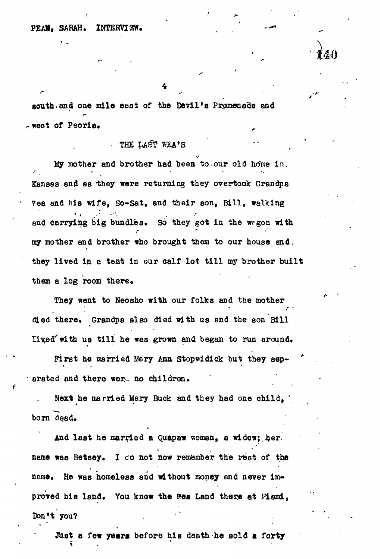4

*•I*240

*t*

south.and one mile east of the Devil's Promenade and west of Peoria. ^

#### THE LAST WEA'S

My mother and brother had been to our old home in. Kansas and as they were returning they overtook Grandpa Fea and his wife, So-Sat, and their son, Bill, walking and carrying big bundles. So they got in the wrgon with my mother and brother who brought them to our house and. they lived in a tent in our calf lot till my brother built them a log room there.

They went to Neosho with our folks and the mother died there. Grandpa also died with us and the son Bill lived with us till he was grown and began to run around.

First he married Mary Ann Stopwidick but they separated and there were no children.

Next he married Mary Buck and they had one child, ' born dead.

And last he married a Quapaw woman, a widow; her, name was Betsey. I *to* not now remember the rest of the name. He was homeless and without money and never improved his land. You know the wea Land there at Memi, Don't you? .

JUst a few years before his death-he sold a forty